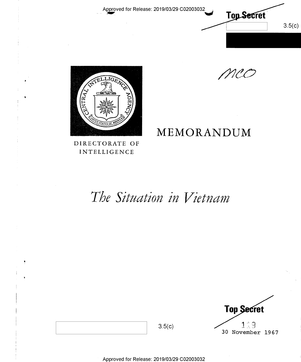

| Top Secret |                        |  |  |
|------------|------------------------|--|--|
| 30         | າ : ຊ<br>November 1967 |  |  |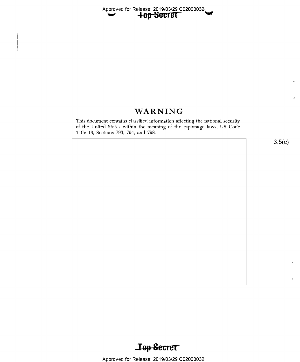# WARNING

This document contains classified information affecting the national security of the United States within the meaning of the espionage laws, US Code Title 18, Sections 793, 794, and 798.

 $3.5(c)$ 

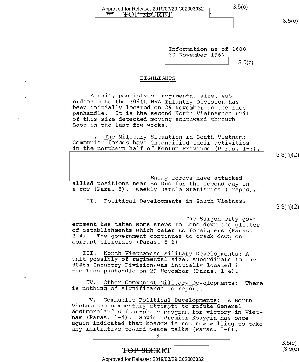| Approved for Release: 2019/03/29 C02003032 <sup>-1</sup> |  | 0.00 |
|----------------------------------------------------------|--|------|
| FOP SECRET                                               |  |      |
|                                                          |  |      |

Information as of 1600 30 November 1967

# $3.5(c)$

## HIGHLIGHTS

A unit, possibly of regimental size, sub-<br>ordinate to the 304th NVA Infantry Division has been initially located on 29 November in the Laos<br>panhandle. It is the second North Vietnamese unit<br>of this size detected moving southward through<br>Laos in the last few weeks.

(I. The Military Situation in South Vietnam: Communist forces have intensified their activities in the northern half of Kontum Province (Paras. 1-3).

3.3(h)(2)

3.3(h)(2)

 $3.5(c)$ 

 $\begin{tabular}{ll} \hline & \multicolumn{3}{l} Eneny forces have attached allied positions near Bo Duc for the second day in \end{tabular}$ a row (Para. 5). Weekly Battle Statistics (Graphs).

II. Political Developments in South Vietnam:

\ \The Saigon city gov- ernment has taken some steps to tone down the glitter of establishments which cater to foreigners (Paras. 3-4). The government continues to crack down on corrupt officials (Paras. 5-6). "

III. North Vietnamese Military Developments: <sup>A</sup>unit possibly of regimental size, subordinate to the 304th Infantry Division,was initially located in the Laos panhandle on 29 November (Paras. l-4).

IV. Other Communist Military Developments: There is nothing of significance to report.

V. Communist Political Developments: A North<br>Vietnamese commentary attempts to refute General<br>Westmoreland's four-phase program for victory in Viet-<br>nam (Paras. 1-4). Soviet Premier Kosygin has once<br>again indicated that Mo

 $\frac{3.5(c)}{c}$ 

Approved for Release: 2019/03/29 C02003032

i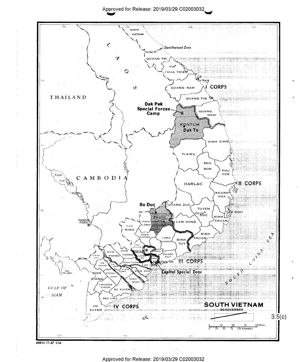

Approved for Release: 2019/03/29 C02003032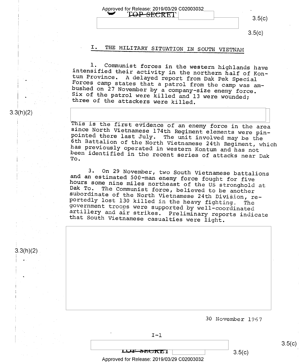$3.5(c)$ 

# I. THE MILITARY SITUATION IN SOUTH VIETNAM

Approved for Release: 2019/03/29 C02003032 - TOP-SECRET

1. Communist forces in the western highlands have<br>intensified their activity in the northern half of Kon-<br>tum Province. A delayed report from Dak Pek Special<br>Forces camp states that a patrol from the camp was am-<br>bushed on

3.3(h)(2)

3.3(h)(2)

This is the first evidence of an enemy force in the area<br>since North Vietnamese 174th Regiment elements were pin-<br>pointed there last July. The unit involved may be the<br>6th Battalion of the North Vietnamese 24th Regiment, w ch

3. On 29 November, two South Vietnamese battalions<br>and an estimated 500-man enemy force fought for five<br>hours some nine miles northeast of the US stronghold at<br>Dak To. The Communist force, believed to be another<br>subordinat

30 November 1967

 $I-1$ 

Approved for Release: 2019/03/29 C02003032

 $LJJ$   $\rightarrow$   $BCH$   $\overline{L}$   $\overline{L}$   $\overline{L}$   $\overline{L}$   $\overline{L}$   $\overline{L}$   $\overline{L}$   $\overline{L}$   $\overline{L}$   $\overline{L}$   $\overline{L}$   $\overline{L}$   $\overline{L}$   $\overline{L}$   $\overline{L}$   $\overline{L}$   $\overline{L}$   $\overline{L}$   $\overline{L}$   $\overline{L}$   $\overline{L}$   $\overline{L}$   $\overline{L}$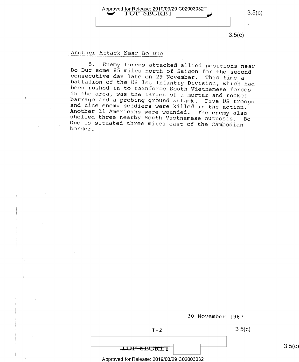Approved for Release: 2019/03/29 C02003032  $3.5(c)$ TOP SECREI

3.5(C)

## Another Attack Near Bo Duc

5. Enemy forces attacked allied positions near<br>Bo Duc some 85 miles north of Saigon for the second<br>consecutive day late on 29 November. This time a<br>battalion of the US 1st Infantry Division, which had<br>been rushed in to rei



30 November 1967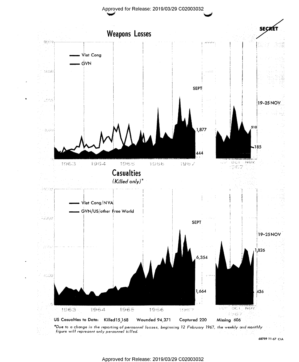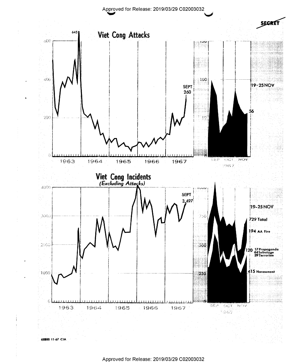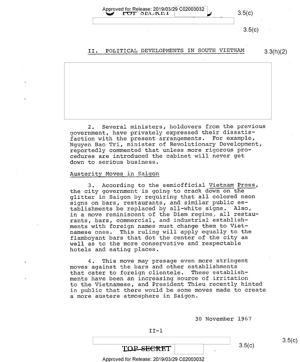Approved for Release: 2019/03/29 C02003032  $TOT$   $SELKEL$   $|$   $\angle$  3.5(c)  $3.5(c)$ 

## II. POLITICAL DEVELOPMENTS IN SOUTH VIETNAM 3.3(h)(2)

2. Several ministers, holdovers from the previous government, have privately expressed their dissatisfaction with the present arrangements. For example, Nguyen Bao Tri, minister of Revolutionary Development, reportedly commented that unless more rigorous procedures are introduced the cabinet will never get down to serious business.

#### Austerity Moves in Saigon

3. According to the semiofficial Vietnam Press, the city government is going to crack down on the glitter in Saigon by requiring that all colored neon signs on bars, restaurants, and similar public establishments be replaced by all—white signs. Also, in a move reminiscent of the Diem regime, all restaurants, bars, commercial, and industrial establishments with foreign names must change them to Vietnamese ones. This ruling will apply equally to the flamboyant bars that dot the center of the city as well as to the more conservative and respectable hotels and eating places.

4. This move may presage even more stringent moves against the bars and other establishments<br>that cater to foreign clientele. These establishthat cater to foreign clientele. ments have been an increasing source of irritation to the Vietnamese, and President Thieu recently hinted in public that there would be some moves made to create a more austere atmosphere in Saigon.

30 November 1967

 $II-1$ 

TOP-SECRET

 $3.5(c)$ 

Approved for Release: 2019/03/29 C02003032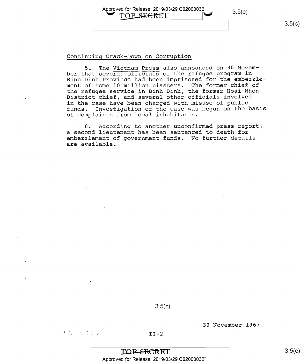Approved for Release: 2019/03/29 C02003032<br>
TOP SECRET | 3.5(c)

## Continuing Crack—Down on Corruption

5. The Vietnam Press also announced on 30 November that several officials of the refugee program in Binh Dinh Province had been imprisoned for the embezzlement of some 10 million piasters. The former chief of the refugee service in Binh Dinh, the former Hoai Nhon District chief, and several other officials involved in the case have been charged with misuse of public<br>funds. Investigation of the case was begun on the k Investigation of the case was begun on the basis of complaints from local inhabitants.

6. According to another unconfirmed press report, a second lieutenant has been sentenced to death for embezzlement of government funds. No further details are available.

 $3.5(c)$ 

30 November 1967

 $\mathbb{R}^{n+1}$  . In the set of the set of the set of the set of the set of the set of the set of the set of the set of the set of the set of the set of the set of the set of the set of the set of the set of the set of the

TOP SECRET Approved for Release: 2019/03/29 C02003032 $^\perp$ 

<sup>I</sup> <sup>I</sup>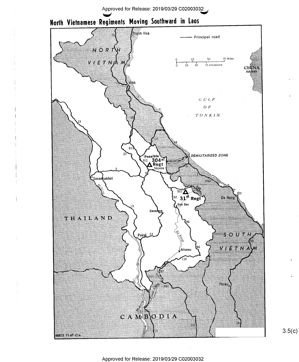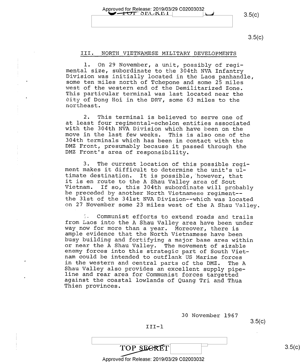Approved for Release: 2019/03/29 C02003032<br>
2.5(c)

#### III. NORTH VIETNAMESE MILITARY DEVELOPMENTS

1. On 29 November, a unit, possibly of regi-<br>mental size, subordinate to the 304th NVA Infantry Division was initially located in the Laos panhandle,<br>some ten miles north of Tchepone and some 25 miles<br>west of the western end of the Demilitarized Zone.<br>This particular terminal was last located near the city of Dong Hoi in the DRV, some 63 miles to the northeast.

2. This terminal is believed to serve one of<br>at least four regimental-echelon entities associated<br>with the 304th NVA Division which have been on the<br>move in the last few weeks. This is also one of the<br>304th terminals which

3. The current location of this possible regi-<br>ment makes it difficult to determine the unit's ul-<br>timate destination. It is possible, however, that it is en route to the A Shau Valley area of Sout<br>Vietnam. If so, this 304th subordinate will probably<br>be preceded by another North Vietnamese regiment--<br>the 31st of the 341st NVA Division--which was located on 27 November some 23 miles west of the A Shau Valley.

<sup>1.</sup> Communist efforts to extend roads and trails<br>from Laos into the A Shau Valley area have been under<br>way now for more than a year. Moreover, there is<br>ample evidence that the North Vietnamese have been<br>busy building and Shau Valley also provides an excellent supply pipe-<br>line and rear area for Communist forces targetted<br>against the coastal lowlands of Quang Tri and Thua<br>Thien provinces.

30 November 1967

 $J = 1$ 

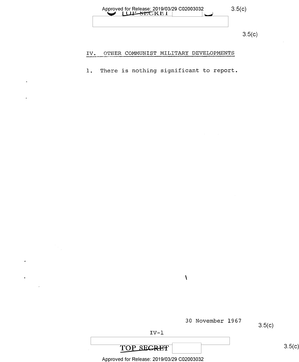

#### OTHER COMMUNIST MILITARY DEVELOPMENTS IV.

l. There is nothing significant to report.

30 November 1967

 $\sqrt{\frac{1}{2}}$ 

3.5(C)

IV—l

# TOP SECRET

 $3.5(c)$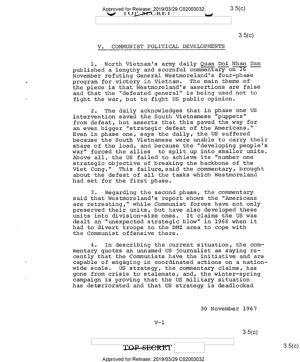Approved for Release: 2019/03/29 C02003032 3.5(C)<br>1 U BHC K L I |

### V. COMMUNIST POLITICAL DEVELOPMENTS

l. North Vietnam's army daily Quan Doi Nhan Dan published a lengthy and scornful commentary on 26 November refuting General Westmoreland's four—phase program for victory in Vietnam. The main theme of<br>the piece is that Westmoreland's assertions are false<br>and that the "defected general" is being used not to and that the "defeated general" is being used not to fight the war, but to fight US public opinion.

2. The daily acknowledges that in phase one US intervention saved the South Vietnamese "puppets" from defeat, but asserts that this paved the way for an even bigger "strategic defeat of the Americans." Even in phase one, says the daily, the US suffered because the South Vietnamese were unable to carry their share of the load, and because the "developing people's war" forced the allies to split up into smaller units. Above all, the US failed to achieve its "number one strategic objective of breaking the backbone of the Viet Cong." This failure,said the commentary, brought about the defeat of all the tasks which Westmoreland had set for the first phase.

3. Regarding the second phase, the commentary said that Westmoreland's report shows the "Americans are retreating," while Communist forces have not only preserved their units, but have also developed these units into division—size ones. It claims the US was dealt an "unexpected strategic blow" in 1966 when it had to divert troops to the DMZ area to cope with the Communist offensive there.

4. In describing the current situation, the commentary quotes an unnamed US journalist as saying recently that the Communists have the initiative and are capable of engaging in coordinated actions on a nationwide scale. US strategy, the commentary claims, has gone from crisis to stalemate, and, the winter-spring campaign is proving that the US military situation has deteriorated and that US strategy is deadlocked

30 November l967

 $V-1$ 

 $3.5(c)$ 

TOP-SECRET

#### Approved for Release: 2019/03/29 C02003032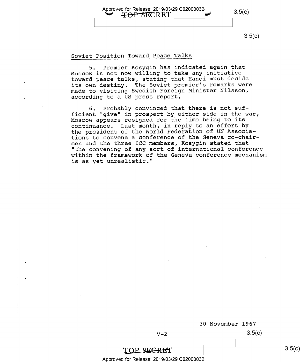Approved for Release: 2019/03/29 C02003032  $3.5(c)$ 

#### Soviet Position Toward Peace Talks

5. Premier Kosygin has indicated again that Moscow is not now willing to take any initiative toward peace talks, stating that Hanoi must decide its own destiny. The Soviet premier's remarks were made to visiting Swedish Foreign Minister Nilsson, according to a US press report.

6. Probably convinced that there is not sufficient "give" in prospect by either side in the war, Moscow appears resigned for the time being to its continuance. Last month, in reply to an effort by the president of the World Federation of UN Associations to convene a conference of the Geneva co—chairmen and the three ICC members, Kosygin stated that "the convening of any sort of international conference within the framework of the Geneva conference mechanism is as yet unrealistic."

30 November l967

 $V-2$  3.5(c)

TOP SEGRET